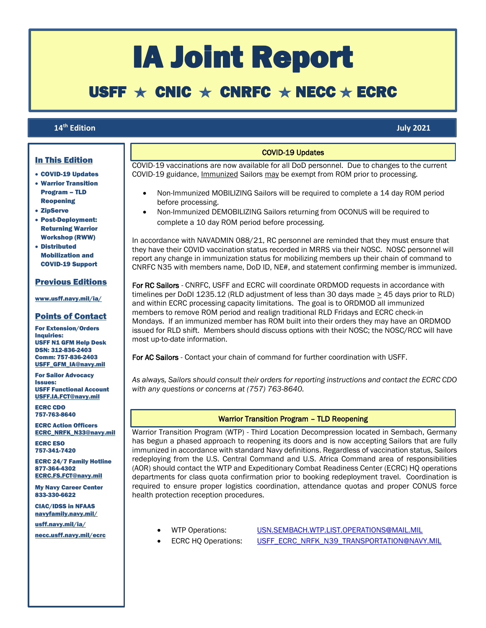# IA Joint Report

## USFF  $\star$  CNIC  $\star$  CNRFC  $\star$  NECC  $\star$  ECRC

### 14<sup>th</sup> Edition

**th Edition July 2021**

### In This Edition

- COVID-19 Updates
- Warrior Transition Program – TLD Reopening
- ZipServe

ſ

- Post-Deployment: Returning Warrior Workshop (RWW)
- Distributed Mobilization and COVID-19 Support

### Previous Editions

[www.usff.navy.mil/ia/](https://www.usff.navy.mil/ia/)

### Points of Contact

For Extension/Orders Inquiries: USFF N1 GFM Help Desk DSN: 312-836-2403 Comm: 757-836-2403 [USFF\\_GFM\\_IA@navy.mil](mailto:USFF_GFM_IA@navy.mil)

For Sailor Advocacy Issues: USFF Functional Account [USFF.IA.FCT@navy.mil](mailto:USFF.IA.FCT@navy.mil)

ECRC CDO 757-763-8640

ECRC Action Officers [ECRC\\_NRFK\\_N33@navy.mil](mailto:ecrc_nrfk_n33@navy.mil)

ECRC ESO 757-341-7420

ECRC 24/7 Family Hotline 877-364-4302 [ECRC.FS.FCT@navy.mil](mailto:ECRC.FS.FCT@navy.mil)

My Navy Career Center 833-330-6622

CIAC/IDSS in NFAAS [navyfamily.navy.mil/](https://navyfamily.navy.mil/)

[usff.navy.mil/ia/](https://www.usff.navy.mil/ia/) [necc.usff.navy.mil/ecrc](http://www.necc.usff.navy.mil/ecrc)

### **COVID-19 Updates**

COVID-19 vaccinations are now available for all DoD personnel. Due to changes to the current COVID-19 guidance, Immunized Sailors may be exempt from ROM prior to processing.

- Non-Immunized MOBILIZING Sailors will be required to complete a 14 day ROM period before processing.
- Non-Immunized DEMOBILIZING Sailors returning from OCONUS will be required to complete a 10 day ROM period before processing.

In accordance with NAVADMIN 088/21, RC personnel are reminded that they must ensure that they have their COVID vaccination status recorded in MRRS via their NOSC. NOSC personnel will report any change in immunization status for mobilizing members up their chain of command to CNRFC N35 with members name, DoD ID, NE#, and statement confirming member is immunized.

For RC Sailors - CNRFC, USFF and ECRC will coordinate ORDMOD requests in accordance with timelines per DoDI 1235.12 (RLD adjustment of less than 30 days made > 45 days prior to RLD) and within ECRC processing capacity limitations. The goal is to ORDMOD all immunized members to remove ROM period and realign traditional RLD Fridays and ECRC check-in Mondays. If an immunized member has ROM built into their orders they may have an ORDMOD issued for RLD shift. Members should discuss options with their NOSC; the NOSC/RCC will have most up-to-date information.

For AC Sailors - Contact your chain of command for further coordination with USFF.

*As always, Sailors should consult their orders for reporting instructions and contact the ECRC CDO with any questions or concerns at (757) 763-8640.*

### Warrior Transition Program – TLD Reopening

Warrior Transition Program (WTP) - Third Location Decompression located in Sembach, Germany has begun a phased approach to reopening its doors and is now accepting Sailors that are fully immunized in accordance with standard Navy definitions. Regardless of vaccination status, Sailors redeploying from the U.S. Central Command and U.S. Africa Command area of responsibilities (AOR) should contact the WTP and Expeditionary Combat Readiness Center (ECRC) HQ operations departments for class quota confirmation prior to booking redeployment travel. Coordination is required to ensure proper logistics coordination, attendance quotas and proper CONUS force health protection reception procedures.

- 
- 

WTP Operations: [USN.SEMBACH.WTP.LIST.OPERATIONS@MAIL.MIL](mailto:USN.SEMBACH.WTP.LIST.OPERATIONS@MAIL.MIL) ECRC HQ Operations: [USFF\\_ECRC\\_NRFK\\_N39\\_TRANSPORTATION@NAVY.MIL](mailto:USFF_ECRC_NRFK_N39_TRANSPORTATION@NAVY.MIL)